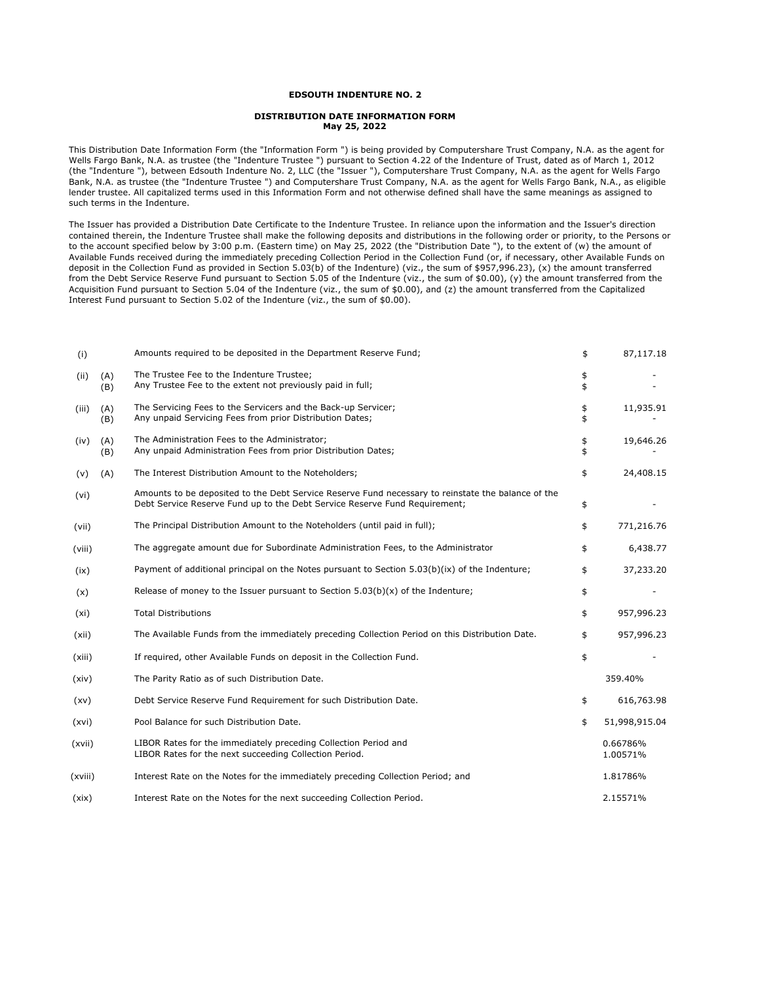## **EDSOUTH INDENTURE NO. 2**

## **DISTRIBUTION DATE INFORMATION FORM May 25, 2022**

This Distribution Date Information Form (the "Information Form ") is being provided by Computershare Trust Company, N.A. as the agent for Wells Fargo Bank, N.A. as trustee (the "Indenture Trustee ") pursuant to Section 4.22 of the Indenture of Trust, dated as of March 1, 2012 (the "Indenture "), between Edsouth Indenture No. 2, LLC (the "Issuer "), Computershare Trust Company, N.A. as the agent for Wells Fargo Bank, N.A. as trustee (the "Indenture Trustee ") and Computershare Trust Company, N.A. as the agent for Wells Fargo Bank, N.A., as eligible lender trustee. All capitalized terms used in this Information Form and not otherwise defined shall have the same meanings as assigned to such terms in the Indenture.

The Issuer has provided a Distribution Date Certificate to the Indenture Trustee. In reliance upon the information and the Issuer's direction contained therein, the Indenture Trustee shall make the following deposits and distributions in the following order or priority, to the Persons or to the account specified below by 3:00 p.m. (Eastern time) on May 25, 2022 (the "Distribution Date "), to the extent of (w) the amount of Available Funds received during the immediately preceding Collection Period in the Collection Fund (or, if necessary, other Available Funds on deposit in the Collection Fund as provided in Section 5.03(b) of the Indenture) (viz., the sum of \$957,996.23), (x) the amount transferred from the Debt Service Reserve Fund pursuant to Section 5.05 of the Indenture (viz., the sum of \$0.00), (y) the amount transferred from the Acquisition Fund pursuant to Section 5.04 of the Indenture (viz., the sum of \$0.00), and (z) the amount transferred from the Capitalized Interest Fund pursuant to Section 5.02 of the Indenture (viz., the sum of \$0.00).

| (i)     |            | Amounts required to be deposited in the Department Reserve Fund;                                                                                                                 | \$       | 87,117.18            |
|---------|------------|----------------------------------------------------------------------------------------------------------------------------------------------------------------------------------|----------|----------------------|
| (ii)    | (A)<br>(B) | The Trustee Fee to the Indenture Trustee;<br>Any Trustee Fee to the extent not previously paid in full;                                                                          | \$<br>\$ |                      |
| (iii)   | (A)<br>(B) | The Servicing Fees to the Servicers and the Back-up Servicer;<br>Any unpaid Servicing Fees from prior Distribution Dates;                                                        | \$<br>\$ | 11,935.91            |
| (iv)    | (A)<br>(B) | The Administration Fees to the Administrator;<br>Any unpaid Administration Fees from prior Distribution Dates;                                                                   | \$<br>\$ | 19,646.26            |
| (v)     | (A)        | The Interest Distribution Amount to the Noteholders;                                                                                                                             | \$       | 24,408.15            |
| (vi)    |            | Amounts to be deposited to the Debt Service Reserve Fund necessary to reinstate the balance of the<br>Debt Service Reserve Fund up to the Debt Service Reserve Fund Requirement; | \$       |                      |
| (vii)   |            | The Principal Distribution Amount to the Noteholders (until paid in full);                                                                                                       | \$       | 771,216.76           |
| (viii)  |            | The aggregate amount due for Subordinate Administration Fees, to the Administrator                                                                                               | \$       | 6,438.77             |
| (ix)    |            | Payment of additional principal on the Notes pursuant to Section 5.03(b)(ix) of the Indenture;                                                                                   | \$       | 37,233.20            |
| (x)     |            | Release of money to the Issuer pursuant to Section $5.03(b)(x)$ of the Indenture;                                                                                                | \$       |                      |
| (xi)    |            | <b>Total Distributions</b>                                                                                                                                                       | \$       | 957,996.23           |
| (xii)   |            | The Available Funds from the immediately preceding Collection Period on this Distribution Date.                                                                                  | \$       | 957,996.23           |
| (xiii)  |            | If required, other Available Funds on deposit in the Collection Fund.                                                                                                            | \$       |                      |
| (xiv)   |            | The Parity Ratio as of such Distribution Date.                                                                                                                                   |          | 359.40%              |
| (xv)    |            | Debt Service Reserve Fund Requirement for such Distribution Date.                                                                                                                | \$       | 616,763.98           |
| (xvi)   |            | Pool Balance for such Distribution Date.                                                                                                                                         | \$       | 51,998,915.04        |
| (xvii)  |            | LIBOR Rates for the immediately preceding Collection Period and<br>LIBOR Rates for the next succeeding Collection Period.                                                        |          | 0.66786%<br>1.00571% |
| (xviii) |            | Interest Rate on the Notes for the immediately preceding Collection Period; and                                                                                                  |          | 1.81786%             |
| (xix)   |            | Interest Rate on the Notes for the next succeeding Collection Period.                                                                                                            |          | 2.15571%             |